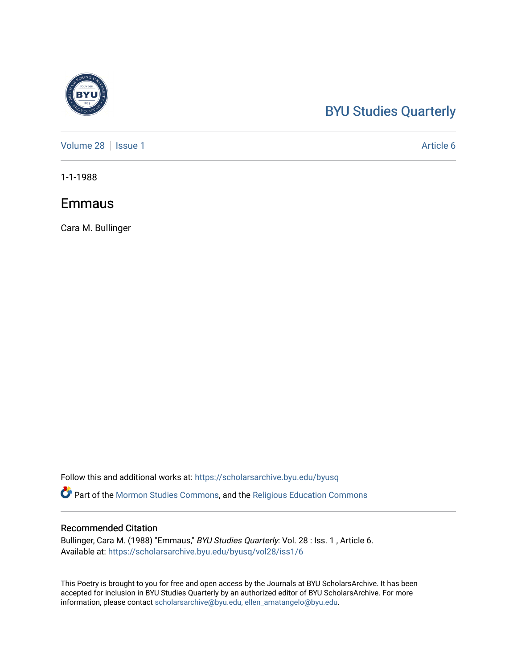## [BYU Studies Quarterly](https://scholarsarchive.byu.edu/byusq)

[Volume 28](https://scholarsarchive.byu.edu/byusq/vol28) | [Issue 1](https://scholarsarchive.byu.edu/byusq/vol28/iss1) Article 6

1-1-1988

### Emmaus

Cara M. Bullinger

Follow this and additional works at: [https://scholarsarchive.byu.edu/byusq](https://scholarsarchive.byu.edu/byusq?utm_source=scholarsarchive.byu.edu%2Fbyusq%2Fvol28%2Fiss1%2F6&utm_medium=PDF&utm_campaign=PDFCoverPages) 

Part of the [Mormon Studies Commons](http://network.bepress.com/hgg/discipline/1360?utm_source=scholarsarchive.byu.edu%2Fbyusq%2Fvol28%2Fiss1%2F6&utm_medium=PDF&utm_campaign=PDFCoverPages), and the [Religious Education Commons](http://network.bepress.com/hgg/discipline/1414?utm_source=scholarsarchive.byu.edu%2Fbyusq%2Fvol28%2Fiss1%2F6&utm_medium=PDF&utm_campaign=PDFCoverPages) 

#### Recommended Citation

Bullinger, Cara M. (1988) "Emmaus," BYU Studies Quarterly: Vol. 28 : Iss. 1, Article 6. Available at: [https://scholarsarchive.byu.edu/byusq/vol28/iss1/6](https://scholarsarchive.byu.edu/byusq/vol28/iss1/6?utm_source=scholarsarchive.byu.edu%2Fbyusq%2Fvol28%2Fiss1%2F6&utm_medium=PDF&utm_campaign=PDFCoverPages)

This Poetry is brought to you for free and open access by the Journals at BYU ScholarsArchive. It has been accepted for inclusion in BYU Studies Quarterly by an authorized editor of BYU ScholarsArchive. For more information, please contact [scholarsarchive@byu.edu, ellen\\_amatangelo@byu.edu.](mailto:scholarsarchive@byu.edu,%20ellen_amatangelo@byu.edu)